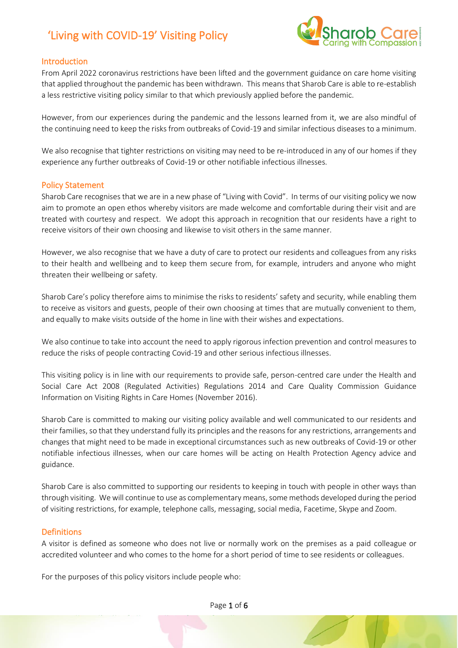

### Introduction

From April 2022 coronavirus restrictions have been lifted and the government guidance on care home visiting that applied throughout the pandemic has been withdrawn. This means that Sharob Care is able to re-establish a less restrictive visiting policy similar to that which previously applied before the pandemic.

However, from our experiences during the pandemic and the lessons learned from it, we are also mindful of the continuing need to keep the risks from outbreaks of Covid-19 and similar infectious diseases to a minimum.

We also recognise that tighter restrictions on visiting may need to be re-introduced in any of our homes if they experience any further outbreaks of Covid-19 or other notifiable infectious illnesses.

#### Policy Statement

Sharob Care recognises that we are in a new phase of "Living with Covid". In terms of our visiting policy we now aim to promote an open ethos whereby visitors are made welcome and comfortable during their visit and are treated with courtesy and respect. We adopt this approach in recognition that our residents have a right to receive visitors of their own choosing and likewise to visit others in the same manner.

However, we also recognise that we have a duty of care to protect our residents and colleagues from any risks to their health and wellbeing and to keep them secure from, for example, intruders and anyone who might threaten their wellbeing or safety.

Sharob Care's policy therefore aims to minimise the risks to residents' safety and security, while enabling them to receive as visitors and guests, people of their own choosing at times that are mutually convenient to them, and equally to make visits outside of the home in line with their wishes and expectations.

We also continue to take into account the need to apply rigorous infection prevention and control measures to reduce the risks of people contracting Covid-19 and other serious infectious illnesses.

This visiting policy is in line with our requirements to provide safe, person-centred care under the Health and Social Care Act 2008 (Regulated Activities) Regulations 2014 and Care Quality Commission Guidance Information on Visiting Rights in Care Homes (November 2016).

Sharob Care is committed to making our visiting policy available and well communicated to our residents and their families, so that they understand fully its principles and the reasons for any restrictions, arrangements and changes that might need to be made in exceptional circumstances such as new outbreaks of Covid-19 or other notifiable infectious illnesses, when our care homes will be acting on Health Protection Agency advice and guidance.

Sharob Care is also committed to supporting our residents to keeping in touch with people in other ways than through visiting. We will continue to use as complementary means,some methods developed during the period of visiting restrictions, for example, telephone calls, messaging, social media, Facetime, Skype and Zoom.

#### Definitions

A visitor is defined as someone who does not live or normally work on the premises as a paid colleague or accredited volunteer and who comes to the home for a short period of time to see residents or colleagues.

For the purposes of this policy visitors include people who: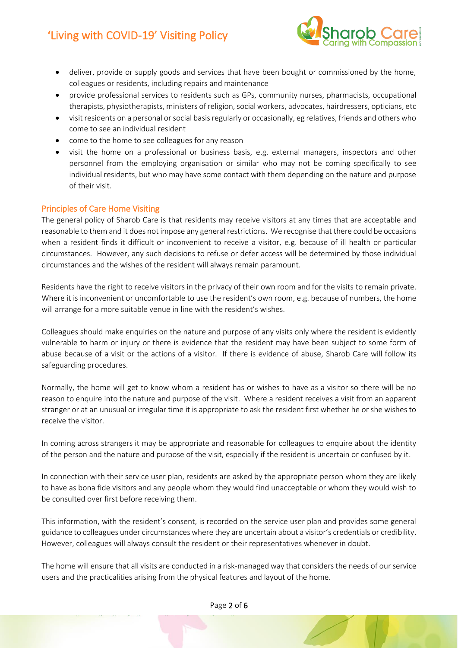

- deliver, provide or supply goods and services that have been bought or commissioned by the home, colleagues or residents, including repairs and maintenance
- provide professional services to residents such as GPs, community nurses, pharmacists, occupational therapists, physiotherapists, ministers of religion, social workers, advocates, hairdressers, opticians, etc
- visit residents on a personal or social basis regularly or occasionally, eg relatives, friends and others who come to see an individual resident
- come to the home to see colleagues for any reason
- visit the home on a professional or business basis, e.g. external managers, inspectors and other personnel from the employing organisation or similar who may not be coming specifically to see individual residents, but who may have some contact with them depending on the nature and purpose of their visit.

### Principles of Care Home Visiting

The general policy of Sharob Care is that residents may receive visitors at any times that are acceptable and reasonable to them and it does not impose any general restrictions. We recognise that there could be occasions when a resident finds it difficult or inconvenient to receive a visitor, e.g. because of ill health or particular circumstances. However, any such decisions to refuse or defer access will be determined by those individual circumstances and the wishes of the resident will always remain paramount.

Residents have the right to receive visitors in the privacy of their own room and for the visits to remain private. Where it is inconvenient or uncomfortable to use the resident's own room, e.g. because of numbers, the home will arrange for a more suitable venue in line with the resident's wishes.

Colleagues should make enquiries on the nature and purpose of any visits only where the resident is evidently vulnerable to harm or injury or there is evidence that the resident may have been subject to some form of abuse because of a visit or the actions of a visitor. If there is evidence of abuse, Sharob Care will follow its safeguarding procedures.

Normally, the home will get to know whom a resident has or wishes to have as a visitor so there will be no reason to enquire into the nature and purpose of the visit. Where a resident receives a visit from an apparent stranger or at an unusual or irregular time it is appropriate to ask the resident first whether he or she wishes to receive the visitor.

In coming across strangers it may be appropriate and reasonable for colleagues to enquire about the identity of the person and the nature and purpose of the visit, especially if the resident is uncertain or confused by it.

In connection with their service user plan, residents are asked by the appropriate person whom they are likely to have as bona fide visitors and any people whom they would find unacceptable or whom they would wish to be consulted over first before receiving them.

This information, with the resident's consent, is recorded on the service user plan and provides some general guidance to colleagues under circumstances where they are uncertain about a visitor's credentials or credibility. However, colleagues will always consult the resident or their representatives whenever in doubt.

The home will ensure that all visits are conducted in a risk-managed way that considers the needs of our service users and the practicalities arising from the physical features and layout of the home.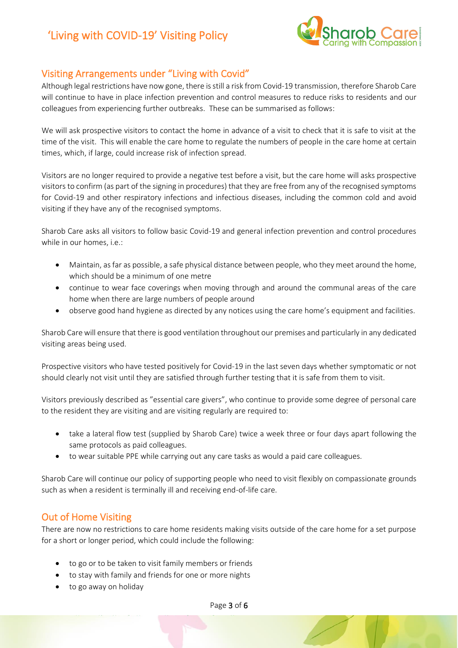

### Visiting Arrangements under "Living with Covid"

Although legal restrictions have now gone, there is still a risk from Covid-19 transmission, therefore Sharob Care will continue to have in place infection prevention and control measures to reduce risks to residents and our colleagues from experiencing further outbreaks. These can be summarised as follows:

We will ask prospective visitors to contact the home in advance of a visit to check that it is safe to visit at the time of the visit. This will enable the care home to regulate the numbers of people in the care home at certain times, which, if large, could increase risk of infection spread.

Visitors are no longer required to provide a negative test before a visit, but the care home will asks prospective visitors to confirm (as part of the signing in procedures) that they are free from any of the recognised symptoms for Covid-19 and other respiratory infections and infectious diseases, including the common cold and avoid visiting if they have any of the recognised symptoms.

Sharob Care asks all visitors to follow basic Covid-19 and general infection prevention and control procedures while in our homes, i.e.:

- Maintain, as far as possible, a safe physical distance between people, who they meet around the home, which should be a minimum of one metre
- continue to wear face coverings when moving through and around the communal areas of the care home when there are large numbers of people around
- observe good hand hygiene as directed by any notices using the care home's equipment and facilities.

Sharob Care will ensure that there is good ventilation throughout our premises and particularly in any dedicated visiting areas being used.

Prospective visitors who have tested positively for Covid-19 in the last seven days whether symptomatic or not should clearly not visit until they are satisfied through further testing that it is safe from them to visit.

Visitors previously described as "essential care givers", who continue to provide some degree of personal care to the resident they are visiting and are visiting regularly are required to:

- take a lateral flow test (supplied by Sharob Care) twice a week three or four days apart following the same protocols as paid colleagues.
- to wear suitable PPE while carrying out any care tasks as would a paid care colleagues.

Sharob Care will continue our policy of supporting people who need to visit flexibly on compassionate grounds such as when a resident is terminally ill and receiving end-of-life care.

### Out of Home Visiting

There are now no restrictions to care home residents making visits outside of the care home for a set purpose for a short or longer period, which could include the following:

- to go or to be taken to visit family members or friends
- to stay with family and friends for one or more nights
- to go away on holiday

Page 3 of 6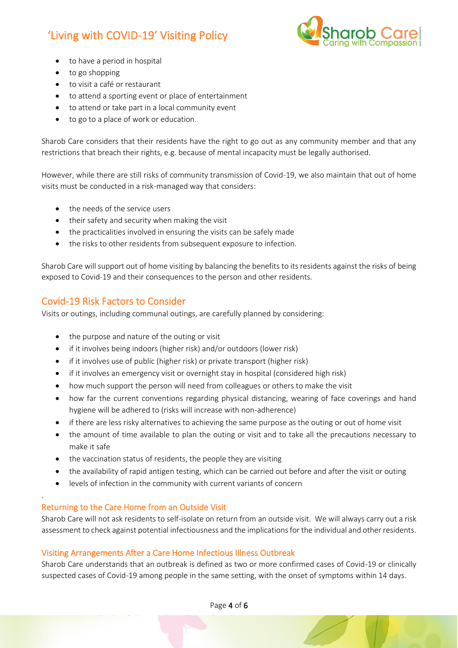

- to have a period in hospital
- to go shopping
- to visit a café or restaurant
- to attend a sporting event or place of entertainment
- to attend or take part in a local community event
- to go to a place of work or education.

Sharob Care considers that their residents have the right to go out as any community member and that any restrictions that breach their rights, e.g. because of mental incapacity must be legally authorised.

However, while there are still risks of community transmission of Covid-19, we also maintain that out of home visits must be conducted in a risk-managed way that considers:

- the needs of the service users
- their safety and security when making the visit
- the practicalities involved in ensuring the visits can be safely made
- the risks to other residents from subsequent exposure to infection.

Sharob Care will support out of home visiting by balancing the benefits to its residents against the risks of being exposed to Covid-19 and their consequences to the person and other residents.

### Covid-19 Risk Factors to Consider

Visits or outings, including communal outings, are carefully planned by considering:

- the purpose and nature of the outing or visit
- if it involves being indoors (higher risk) and/or outdoors (lower risk)
- if it involves use of public (higher risk) or private transport (higher risk)
- if it involves an emergency visit or overnight stay in hospital (considered high risk)
- how much support the person will need from colleagues or others to make the visit
- how far the current conventions regarding physical distancing, wearing of face coverings and hand hygiene will be adhered to (risks will increase with non-adherence)
- if there are less risky alternatives to achieving the same purpose as the outing or out of home visit
- the amount of time available to plan the outing or visit and to take all the precautions necessary to make it safe
- the vaccination status of residents, the people they are visiting
- the availability of rapid antigen testing, which can be carried out before and after the visit or outing
- levels of infection in the community with current variants of concern

### Returning to the Care Home from an Outside Visit

.

Sharob Care will not ask residents to self-isolate on return from an outside visit. We will always carry out a risk assessment to check against potential infectiousness and the implications for the individual and other residents.

### Visiting Arrangements After a Care Home Infectious Illness Outbreak

Sharob Care understands that an outbreak is defined as two or more confirmed cases of Covid-19 or clinically suspected cases of Covid-19 among people in the same setting, with the onset of symptoms within 14 days.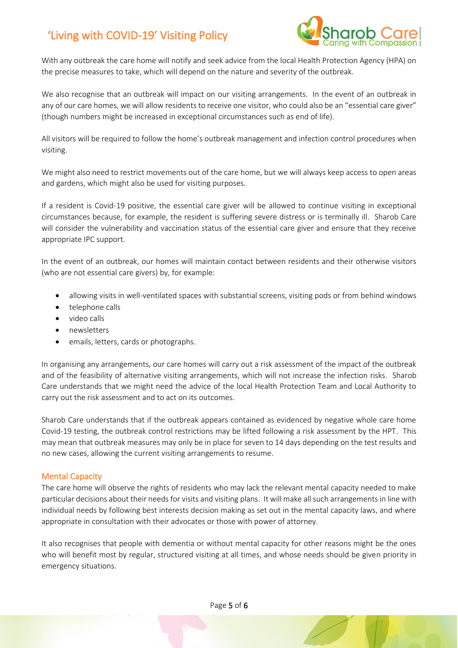

With any outbreak the care home will notify and seek advice from the local Health Protection Agency (HPA) on the precise measures to take, which will depend on the nature and severity of the outbreak.

We also recognise that an outbreak will impact on our visiting arrangements. In the event of an outbreak in any of our care homes, we will allow residents to receive one visitor, who could also be an "essential care giver" (though numbers might be increased in exceptional circumstances such as end of life).

All visitors will be required to follow the home's outbreak management and infection control procedures when visiting.

We might also need to restrict movements out of the care home, but we will always keep access to open areas and gardens, which might also be used for visiting purposes.

If a resident is Covid-19 positive, the essential care giver will be allowed to continue visiting in exceptional circumstances because, for example, the resident is suffering severe distress or is terminally ill. Sharob Care will consider the vulnerability and vaccination status of the essential care giver and ensure that they receive appropriate IPC support.

In the event of an outbreak, our homes will maintain contact between residents and their otherwise visitors (who are not essential care givers) by, for example:

- allowing visits in well-ventilated spaces with substantial screens, visiting pods or from behind windows
- telephone calls
- video calls
- newsletters
- emails, letters, cards or photographs.

In organising any arrangements, our care homes will carry out a risk assessment of the impact of the outbreak and of the feasibility of alternative visiting arrangements, which will not increase the infection risks. Sharob Care understands that we might need the advice of the local Health Protection Team and Local Authority to carry out the risk assessment and to act on its outcomes.

Sharob Care understands that if the outbreak appears contained as evidenced by negative whole care home Covid-19 testing, the outbreak control restrictions may be lifted following a risk assessment by the HPT. This may mean that outbreak measures may only be in place for seven to 14 days depending on the test results and no new cases, allowing the current visiting arrangements to resume.

### Mental Capacity

The care home will observe the rights of residents who may lack the relevant mental capacity needed to make particular decisions about their needs for visits and visiting plans. It will make all such arrangements in line with individual needs by following best interests decision making as set out in the mental capacity laws, and where appropriate in consultation with their advocates or those with power of attorney.

It also recognises that people with dementia or without mental capacity for other reasons might be the ones who will benefit most by regular, structured visiting at all times, and whose needs should be given priority in emergency situations.